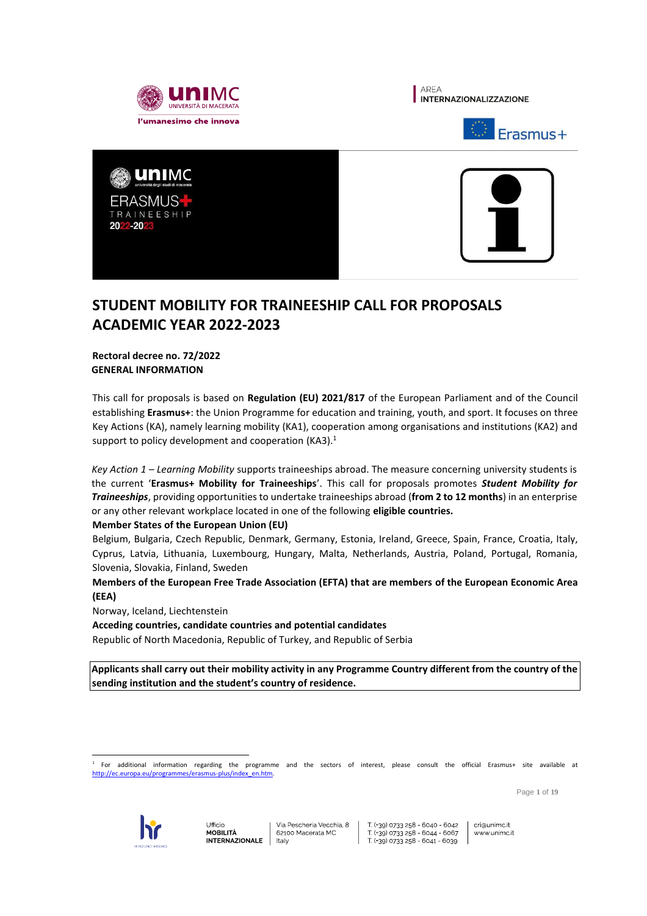









# **STUDENT MOBILITY FOR TRAINEESHIP CALL FOR PROPOSALS ACADEMIC YEAR 2022-2023**

**Rectoral decree no. 72/2022 GENERAL INFORMATION**

This call for proposals is based on **Regulation (EU) 2021/817** of the European Parliament and of the Council establishing **Erasmus+**: the Union Programme for education and training, youth, and sport. It focuses on three Key Actions (KA), namely learning mobility (KA1), cooperation among organisations and institutions (KA2) and support to policy development and cooperation (KA3).<sup>1</sup>

*Key Action 1 – Learning Mobility* supports traineeships abroad. The measure concerning university students is the current '**Erasmus+ Mobility for Traineeships**'. This call for proposals promotes *Student Mobility for Traineeships*, providing opportunities to undertake traineeships abroad (**from 2 to 12 months**) in an enterprise or any other relevant workplace located in one of the following **eligible countries.**

# **Member States of the European Union (EU)**

Belgium, Bulgaria, Czech Republic, Denmark, Germany, Estonia, Ireland, Greece, Spain, France, Croatia, Italy, Cyprus, Latvia, Lithuania, Luxembourg, Hungary, Malta, Netherlands, Austria, Poland, Portugal, Romania, Slovenia, Slovakia, Finland, Sweden

**Members of the European Free Trade Association (EFTA) that are members of the European Economic Area (EEA)**

Norway, Iceland, Liechtenstein

**Acceding countries, candidate countries and potential candidates**

Republic of North Macedonia, Republic of Turkey, and Republic of Serbia

**Applicants shall carry out their mobility activity in any Programme Country different from the country of the sending institution and the student's country of residence.**

 $\overline{a}$ 1 For additional information regarding the programme and the sectors of interest, please consult the official Erasmus+ site available at http://ec.europa.eu/programmes/erasmus-plus/index\_en.htm

Page **1** of **19**



T (+39) 0733 258 - 6040 - 6042 T (+39) 0733 258 - 6044 - 6067 T (+39) 0733 258 - 6041 - 6039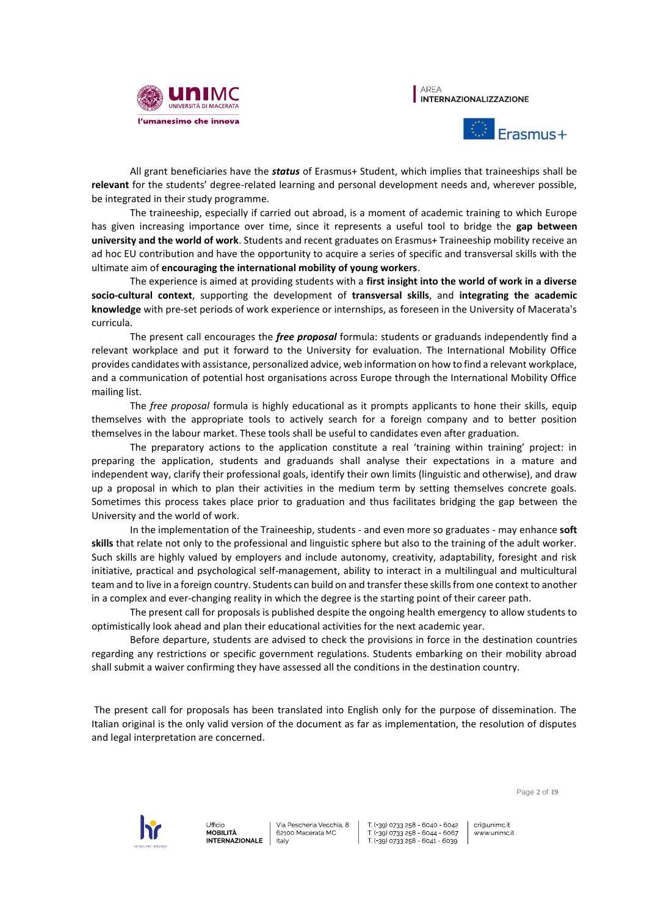





All grant beneficiaries have the *status* of Erasmus+ Student, which implies that traineeships shall be **relevant** for the students' degree-related learning and personal development needs and, wherever possible, be integrated in their study programme.

The traineeship, especially if carried out abroad, is a moment of academic training to which Europe has given increasing importance over time, since it represents a useful tool to bridge the **gap between university and the world of work**. Students and recent graduates on Erasmus+ Traineeship mobility receive an ad hoc EU contribution and have the opportunity to acquire a series of specific and transversal skills with the ultimate aim of **encouraging the international mobility of young workers**.

The experience is aimed at providing students with a **first insight into the world of work in a diverse socio-cultural context**, supporting the development of **transversal skills**, and **integrating the academic knowledge** with pre-set periods of work experience or internships, as foreseen in the University of Macerata's curricula.

The present call encourages the *free proposal* formula: students or graduands independently find a relevant workplace and put it forward to the University for evaluation. The International Mobility Office provides candidates with assistance, personalized advice, web information on how to find a relevant workplace, and a communication of potential host organisations across Europe through the International Mobility Office mailing list.

The *free proposal* formula is highly educational as it prompts applicants to hone their skills, equip themselves with the appropriate tools to actively search for a foreign company and to better position themselves in the labour market. These tools shall be useful to candidates even after graduation.

The preparatory actions to the application constitute a real 'training within training' project: in preparing the application, students and graduands shall analyse their expectations in a mature and independent way, clarify their professional goals, identify their own limits (linguistic and otherwise), and draw up a proposal in which to plan their activities in the medium term by setting themselves concrete goals. Sometimes this process takes place prior to graduation and thus facilitates bridging the gap between the University and the world of work.

In the implementation of the Traineeship, students - and even more so graduates - may enhance **soft skills** that relate not only to the professional and linguistic sphere but also to the training of the adult worker. Such skills are highly valued by employers and include autonomy, creativity, adaptability, foresight and risk initiative, practical and psychological self-management, ability to interact in a multilingual and multicultural team and to live in a foreign country. Students can build on and transfer these skills from one context to another in a complex and ever-changing reality in which the degree is the starting point of their career path.

The present call for proposals is published despite the ongoing health emergency to allow students to optimistically look ahead and plan their educational activities for the next academic year.

Before departure, students are advised to check the provisions in force in the destination countries regarding any restrictions or specific government regulations. Students embarking on their mobility abroad shall submit a waiver confirming they have assessed all the conditions in the destination country.

The present call for proposals has been translated into English only for the purpose of dissemination. The Italian original is the only valid version of the document as far as implementation, the resolution of disputes and legal interpretation are concerned.

Page **2** of **19**



Via Pescheria Vecchia, 8 62100 Macerata MC taly

T (+39) 0733 258 - 6040 - 6042  $\frac{1}{29}$  (+39) 0733 258 - 6044 - 6067 T (+39) 0733 258 - 6041 - 6039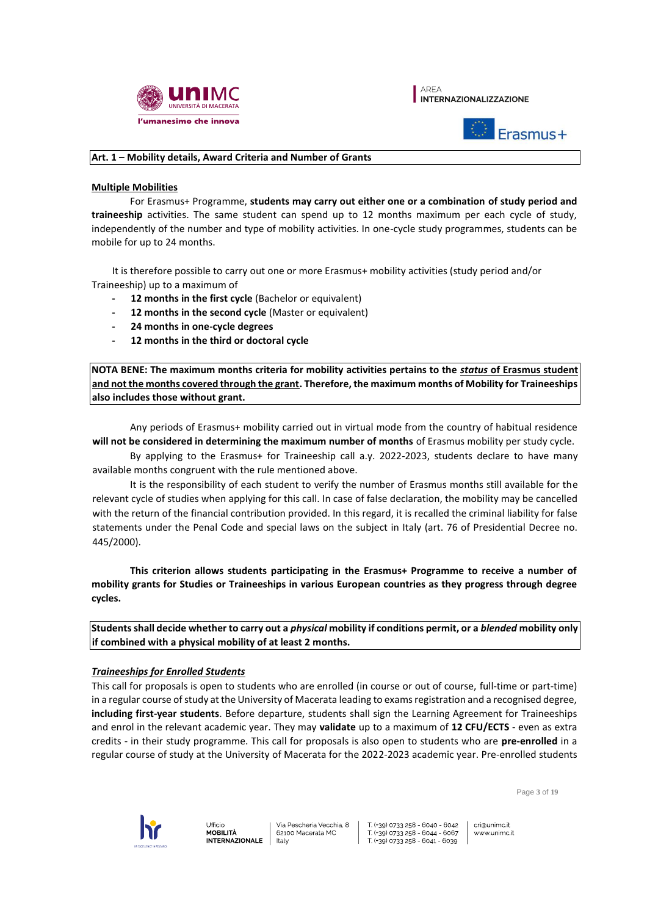





## **Art. 1 – Mobility details, Award Criteria and Number of Grants**

### **Multiple Mobilities**

For Erasmus+ Programme, **students may carry out either one or a combination of study period and traineeship** activities. The same student can spend up to 12 months maximum per each cycle of study, independently of the number and type of mobility activities. In one-cycle study programmes, students can be mobile for up to 24 months.

It is therefore possible to carry out one or more Erasmus+ mobility activities (study period and/or Traineeship) up to a maximum of

- **- 12 months in the first cycle** (Bachelor or equivalent)
- **- 12 months in the second cycle** (Master or equivalent)
- **- 24 months in one-cycle degrees**
- **- 12 months in the third or doctoral cycle**

**NOTA BENE: The maximum months criteria for mobility activities pertains to the** *status* **of Erasmus student and not the months covered through the grant. Therefore, the maximum months of Mobility for Traineeships also includes those without grant.** 

Any periods of Erasmus+ mobility carried out in virtual mode from the country of habitual residence **will not be considered in determining the maximum number of months** of Erasmus mobility per study cycle.

By applying to the Erasmus+ for Traineeship call a.y. 2022-2023, students declare to have many available months congruent with the rule mentioned above.

It is the responsibility of each student to verify the number of Erasmus months still available for the relevant cycle of studies when applying for this call. In case of false declaration, the mobility may be cancelled with the return of the financial contribution provided. In this regard, it is recalled the criminal liability for false statements under the Penal Code and special laws on the subject in Italy (art. 76 of Presidential Decree no. 445/2000).

**This criterion allows students participating in the Erasmus+ Programme to receive a number of mobility grants for Studies or Traineeships in various European countries as they progress through degree cycles.** 

**Students shall decide whether to carry out a** *physical* **mobility if conditions permit, or a** *blended* **mobility only if combined with a physical mobility of at least 2 months.** 

# *Traineeships for Enrolled Students*

This call for proposals is open to students who are enrolled (in course or out of course, full-time or part-time) in a regular course of study at the University of Macerata leading to exams registration and a recognised degree, **including first-year students**. Before departure, students shall sign the Learning Agreement for Traineeships and enrol in the relevant academic year. They may **validate** up to a maximum of **12 CFU/ECTS** - even as extra credits - in their study programme. This call for proposals is also open to students who are **pre-enrolled** in a regular course of study at the University of Macerata for the 2022-2023 academic year. Pre-enrolled students

Page **3** of **19**



Ufficio **MOBILITÀ INTERNAZIONALE** 

Via Pescheria Vecchia, 8 62100 Macerata MC taly

T (+39) 0733 258 - 6040 - 6042 T (+39) 0733 258 - 6044 - 6067 T (+39) 0733 258 - 6041 - 6039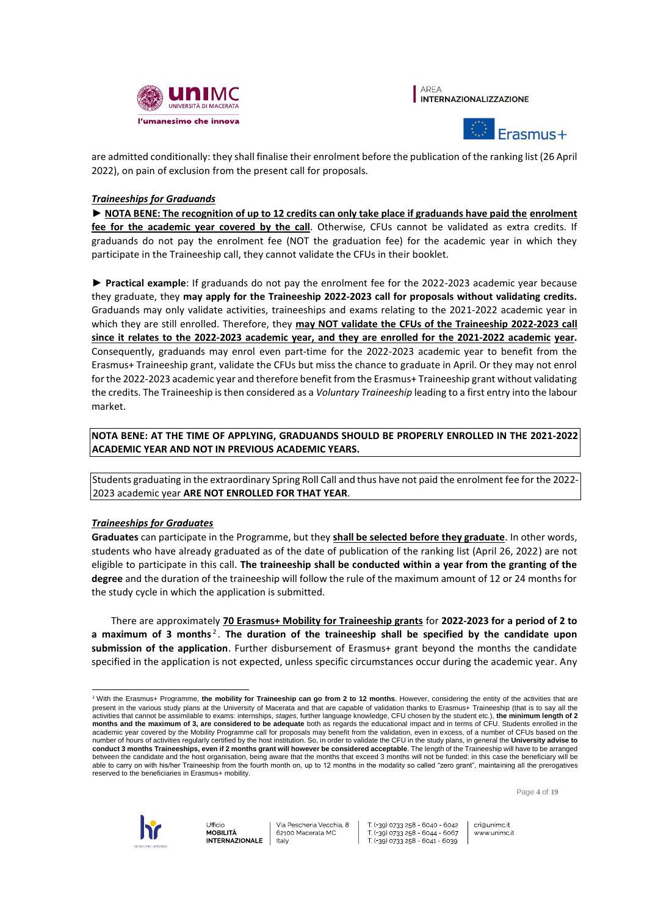





are admitted conditionally: they shall finalise their enrolment before the publication of the ranking list (26 April 2022), on pain of exclusion from the present call for proposals.

# *Traineeships for Graduands*

► **NOTA BENE: The recognition of up to 12 credits can only take place if graduands have paid the enrolment fee for the academic year covered by the call**. Otherwise, CFUs cannot be validated as extra credits. If graduands do not pay the enrolment fee (NOT the graduation fee) for the academic year in which they participate in the Traineeship call, they cannot validate the CFUs in their booklet.

► **Practical example**: If graduands do not pay the enrolment fee for the 2022-2023 academic year because they graduate, they **may apply for the Traineeship 2022-2023 call for proposals without validating credits.** Graduands may only validate activities, traineeships and exams relating to the 2021-2022 academic year in which they are still enrolled. Therefore, they **may NOT validate the CFUs of the Traineeship 2022-2023 call since it relates to the 2022-2023 academic year, and they are enrolled for the 2021-2022 academic year.**  Consequently, graduands may enrol even part-time for the 2022-2023 academic year to benefit from the Erasmus+ Traineeship grant, validate the CFUs but miss the chance to graduate in April. Or they may not enrol for the 2022-2023 academic year and therefore benefit from the Erasmus+ Traineeship grant without validating the credits. The Traineeship is then considered as a *Voluntary Traineeship* leading to a first entry into the labour market.

# **NOTA BENE: AT THE TIME OF APPLYING, GRADUANDS SHOULD BE PROPERLY ENROLLED IN THE 2021-2022 ACADEMIC YEAR AND NOT IN PREVIOUS ACADEMIC YEARS.**

Students graduating in the extraordinary Spring Roll Call and thus have not paid the enrolment fee for the 2022- 2023 academic year **ARE NOT ENROLLED FOR THAT YEAR**.

# *Traineeships for Graduates*

**Graduates** can participate in the Programme, but they **shall be selected before they graduate**. In other words, students who have already graduated as of the date of publication of the ranking list (April 26, 2022) are not eligible to participate in this call. **The traineeship shall be conducted within a year from the granting of the degree** and the duration of the traineeship will follow the rule of the maximum amount of 12 or 24 months for the study cycle in which the application is submitted.

There are approximately **70 Erasmus+ Mobility for Traineeship grants** for **2022-2023 for a period of 2 to**  a maximum of 3 months<sup>2</sup>. The duration of the traineeship shall be specified by the candidate upon **submission of the application**. Further disbursement of Erasmus+ grant beyond the months the candidate specified in the application is not expected, unless specific circumstances occur during the academic year. Any

Page **4** of **19**



T (+39) 0733 258 - 6040 - 6042 T (+39) 0733 258 - 6044 - 6067 T (+39) 0733 258 - 6041 - 6039

 $\overline{a}$ <sup>2</sup> With the Erasmus+ Programme, the mobility for Traineeship can go from 2 to 12 months. However, considering the entity of the activities that are present in the various study plans at the University of Macerata and that are capable of validation thanks to Erasmus+ Traineeship (that is to say all the activities that cannot be assimilable to exams: internships, *stages*, further language knowledge, CFU chosen by the student etc.), **the minimum length of 2 months and the maximum of 3, are considered to be adequate** both as regards the educational impact and in terms of CFU. Students enrolled in the academic year covered by the Mobility Programme call for proposals may benefit from the validation, even in excess, of a number of CFUs based on the number of hours of activities regularly certified by the host institution. So, in order to validate the CFU in the study plans, in general the **University advise to conduct 3 months Traineeships, even if 2 months grant will however be considered acceptable**. The length of the Traineeship will have to be arranged between the candidate and the host organisation, being aware that the months that exceed 3 months will not be funded: in this case the beneficiary will be able to carry on with his/her Traineeship from the fourth month on, up to 12 months in the modality so called "zero grant", maintaining all the prerogatives reserved to the beneficiaries in Erasmus+ mobility.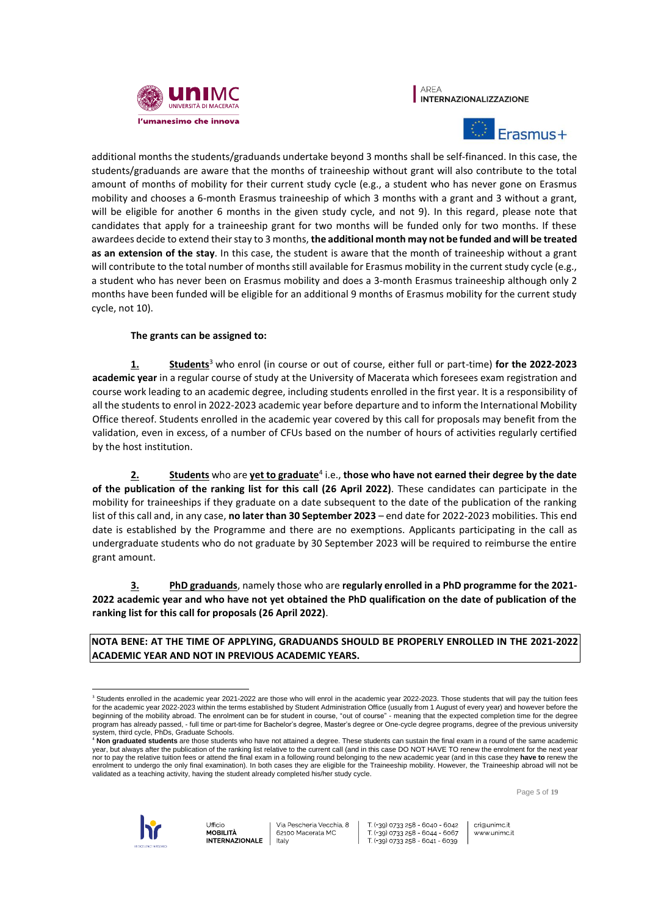





additional months the students/graduands undertake beyond 3 months shall be self-financed. In this case, the students/graduands are aware that the months of traineeship without grant will also contribute to the total amount of months of mobility for their current study cycle (e.g., a student who has never gone on Erasmus mobility and chooses a 6-month Erasmus traineeship of which 3 months with a grant and 3 without a grant, will be eligible for another 6 months in the given study cycle, and not 9). In this regard, please note that candidates that apply for a traineeship grant for two months will be funded only for two months. If these awardees decide to extend their stay to 3 months, **the additional month may not be funded and will be treated as an extension of the stay**. In this case, the student is aware that the month of traineeship without a grant will contribute to the total number of months still available for Erasmus mobility in the current study cycle (e.g., a student who has never been on Erasmus mobility and does a 3-month Erasmus traineeship although only 2 months have been funded will be eligible for an additional 9 months of Erasmus mobility for the current study cycle, not 10).

# **The grants can be assigned to:**

**1. Students**<sup>3</sup> who enrol (in course or out of course, either full or part-time) **for the 2022-2023 academic year** in a regular course of study at the University of Macerata which foresees exam registration and course work leading to an academic degree, including students enrolled in the first year. It is a responsibility of all the students to enrol in 2022-2023 academic year before departure and to inform the International Mobility Office thereof. Students enrolled in the academic year covered by this call for proposals may benefit from the validation, even in excess, of a number of CFUs based on the number of hours of activities regularly certified by the host institution.

**2. Students** who are **yet to graduate**<sup>4</sup> i.e., **those who have not earned their degree by the date of the publication of the ranking list for this call (26 April 2022)**. These candidates can participate in the mobility for traineeships if they graduate on a date subsequent to the date of the publication of the ranking list of this call and, in any case, **no later than 30 September 2023** – end date for 2022-2023 mobilities. This end date is established by the Programme and there are no exemptions. Applicants participating in the call as undergraduate students who do not graduate by 30 September 2023 will be required to reimburse the entire grant amount.

**3. PhD graduands**, namely those who are **regularly enrolled in a PhD programme for the 2021- 2022 academic year and who have not yet obtained the PhD qualification on the date of publication of the ranking list for this call for proposals (26 April 2022)**.

**NOTA BENE: AT THE TIME OF APPLYING, GRADUANDS SHOULD BE PROPERLY ENROLLED IN THE 2021-2022 ACADEMIC YEAR AND NOT IN PREVIOUS ACADEMIC YEARS.** 

Page **5** of **19**



 $\overline{a}$ 

Via Pescheria Vecchia, 8 62100 Macerata MC taly

T (+39) 0733 258 - 6040 - 6042 T (+39) 0733 258 - 6044 - 6067 T (+39) 0733 258 - 6041 - 6039

<sup>&</sup>lt;sup>3</sup> Students enrolled in the academic year 2021-2022 are those who will enrol in the academic year 2022-2023. Those students that will pay the tuition fees for the academic year 2022-2023 within the terms established by Student Administration Office (usually from 1 August of every year) and however before the beginning of the mobility abroad. The enrolment can be for student in course, "out of course" - meaning that the expected completion time for the degree program has already passed, - full time or part-time for Bachelor's degree, Master's degree or One-cycle degree programs, degree of the previous university system, third cycle, PhDs, Graduate Schools.

<sup>4</sup> **Non graduated students** are those students who have not attained a degree. These students can sustain the final exam in a round of the same academic year, but always after the publication of the ranking list relative to the current call (and in this case DO NOT HAVE TO renew the enrolment for the next year nor to pay the relative tuition fees or attend the final exam in a following round belonging to the new academic year (and in this case they **have to** renew the enrolment to undergo the only final examination). In both cases they are eligible for the Traineeship mobility. However, the Traineeship abroad will not be validated as a teaching activity, having the student already completed his/her study cycle.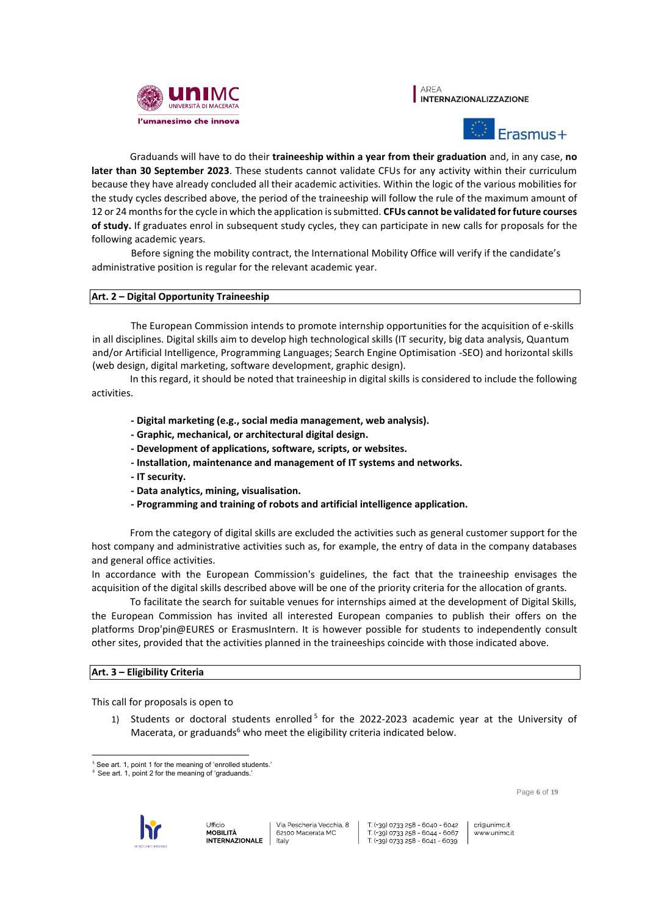





Graduands will have to do their **traineeship within a year from their graduation** and, in any case, **no later than 30 September 2023**. These students cannot validate CFUs for any activity within their curriculum because they have already concluded all their academic activities. Within the logic of the various mobilities for the study cycles described above, the period of the traineeship will follow the rule of the maximum amount of 12 or 24 months for the cycle in which the application is submitted. **CFUs cannot be validated for future courses of study.** If graduates enrol in subsequent study cycles, they can participate in new calls for proposals for the following academic years.

Before signing the mobility contract, the International Mobility Office will verify if the candidate's administrative position is regular for the relevant academic year.

# **Art. 2 – Digital Opportunity Traineeship**

The European Commission intends to promote internship opportunities for the acquisition of e-skills in all disciplines. Digital skills aim to develop high technological skills (IT security, big data analysis, Quantum and/or Artificial Intelligence, Programming Languages; Search Engine Optimisation -SEO) and horizontal skills (web design, digital marketing, software development, graphic design).

In this regard, it should be noted that traineeship in digital skills is considered to include the following activities.

- **- Digital marketing (e.g., social media management, web analysis).**
- **- Graphic, mechanical, or architectural digital design.**
- **- Development of applications, software, scripts, or websites.**
- **- Installation, maintenance and management of IT systems and networks.**
- **- IT security.**
- **- Data analytics, mining, visualisation.**
- **- Programming and training of robots and artificial intelligence application.**

From the category of digital skills are excluded the activities such as general customer support for the host company and administrative activities such as, for example, the entry of data in the company databases and general office activities.

In accordance with the European Commission's guidelines, the fact that the traineeship envisages the acquisition of the digital skills described above will be one of the priority criteria for the allocation of grants.

To facilitate the search for suitable venues for internships aimed at the development of Digital Skills, the European Commission has invited all interested European companies to publish their offers on the platforms Drop'pin@EURES or ErasmusIntern. It is however possible for students to independently consult other sites, provided that the activities planned in the traineeships coincide with those indicated above.

#### **Art. 3 – Eligibility Criteria**

This call for proposals is open to

1) Students or doctoral students enrolled<sup>5</sup> for the 2022-2023 academic year at the University of Macerata, or graduands $6$  who meet the eligibility criteria indicated below.

 $6$  See art. 1, point 2 for the meaning of 'graduands.



Ufficio

cri@unimc.it www.unimc.it

Page **6** of **19**

 $\overline{a}$ <sup>5</sup> See art. 1, point 1 for the meaning of 'enrolled students.'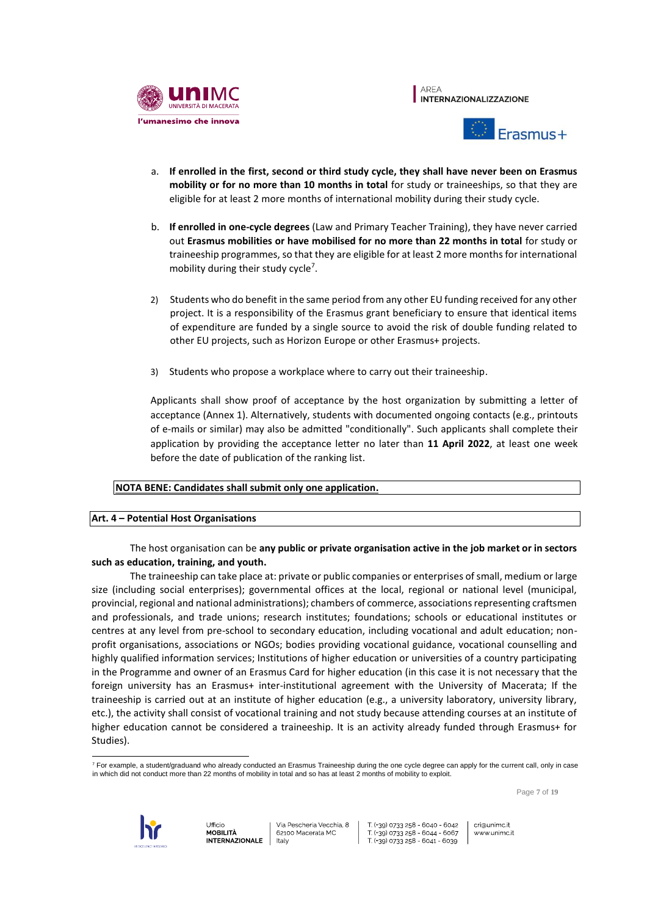





- a. **If enrolled in the first, second or third study cycle, they shall have never been on Erasmus mobility or for no more than 10 months in total** for study or traineeships, so that they are eligible for at least 2 more months of international mobility during their study cycle.
- b. **If enrolled in one-cycle degrees** (Law and Primary Teacher Training), they have never carried out **Erasmus mobilities or have mobilised for no more than 22 months in total** for study or traineeship programmes, so that they are eligible for at least 2 more months for international mobility during their study cycle<sup>7</sup>.
- 2) Students who do benefit in the same period from any other EU funding received for any other project. It is a responsibility of the Erasmus grant beneficiary to ensure that identical items of expenditure are funded by a single source to avoid the risk of double funding related to other EU projects, such as Horizon Europe or other Erasmus+ projects.
- 3) Students who propose a workplace where to carry out their traineeship.

Applicants shall show proof of acceptance by the host organization by submitting a letter of acceptance (Annex 1). Alternatively, students with documented ongoing contacts (e.g., printouts of e-mails or similar) may also be admitted "conditionally". Such applicants shall complete their application by providing the acceptance letter no later than **11 April 2022**, at least one week before the date of publication of the ranking list.

# **NOTA BENE: Candidates shall submit only one application.**

# **Art. 4 – Potential Host Organisations**

# The host organisation can be **any public or private organisation active in the job market or in sectors such as education, training, and youth.**

The traineeship can take place at: private or public companies or enterprises of small, medium or large size (including social enterprises); governmental offices at the local, regional or national level (municipal, provincial, regional and national administrations); chambers of commerce, associations representing craftsmen and professionals, and trade unions; research institutes; foundations; schools or educational institutes or centres at any level from pre-school to secondary education, including vocational and adult education; nonprofit organisations, associations or NGOs; bodies providing vocational guidance, vocational counselling and highly qualified information services; Institutions of higher education or universities of a country participating in the Programme and owner of an Erasmus Card for higher education (in this case it is not necessary that the foreign university has an Erasmus+ inter-institutional agreement with the University of Macerata; If the traineeship is carried out at an institute of higher education (e.g., a university laboratory, university library, etc.), the activity shall consist of vocational training and not study because attending courses at an institute of higher education cannot be considered a traineeship. It is an activity already funded through Erasmus+ for Studies).

Page **7** of **19**



 <sup>7</sup> For example, a student/graduand who already conducted an Erasmus Traineeship during the one cycle degree can apply for the current call, only in case in which did not conduct more than 22 months of mobility in total and so has at least 2 months of mobility to exploit.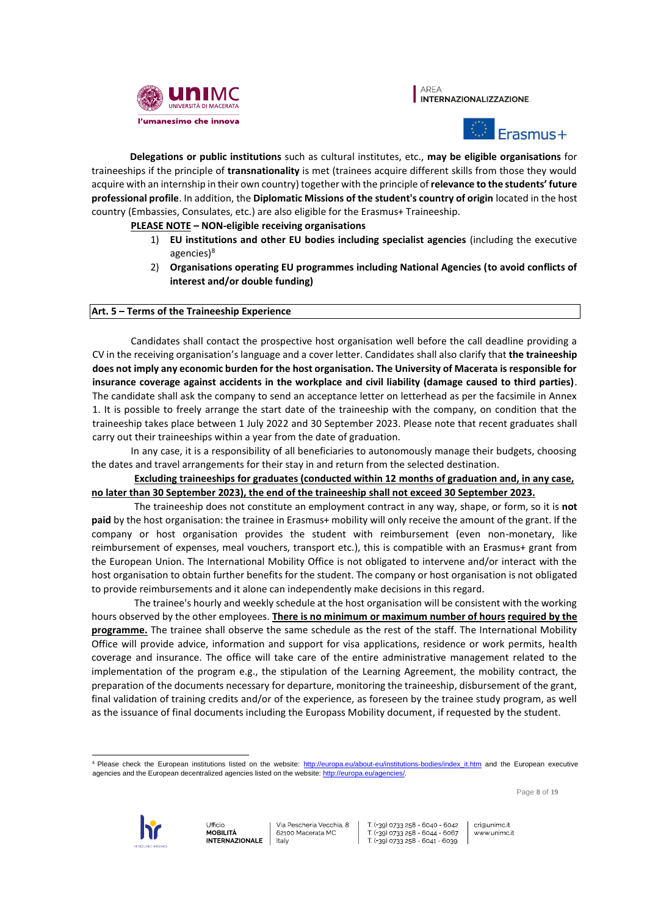





**Delegations or public institutions** such as cultural institutes, etc., **may be eligible organisations** for traineeships if the principle of **transnationality** is met (trainees acquire different skills from those they would acquire with an internship in their own country) together with the principle of **relevance to the students' future professional profile**. In addition, the **Diplomatic Missions of the student's country of origin** located in the host country (Embassies, Consulates, etc.) are also eligible for the Erasmus+ Traineeship.

## **PLEASE NOTE – NON-eligible receiving organisations**

- 1) **EU institutions and other EU bodies including specialist agencies** (including the executive agencies)<sup>8</sup>
- 2) **Organisations operating EU programmes including National Agencies (to avoid conflicts of interest and/or double funding)**

#### **Art. 5 – Terms of the Traineeship Experience**

Candidates shall contact the prospective host organisation well before the call deadline providing a CV in the receiving organisation's language and a cover letter. Candidates shall also clarify that **the traineeship does not imply any economic burden for the host organisation. The University of Macerata is responsible for insurance coverage against accidents in the workplace and civil liability (damage caused to third parties)**. The candidate shall ask the company to send an acceptance letter on letterhead as per the facsimile in Annex 1. It is possible to freely arrange the start date of the traineeship with the company, on condition that the traineeship takes place between 1 July 2022 and 30 September 2023. Please note that recent graduates shall carry out their traineeships within a year from the date of graduation.

In any case, it is a responsibility of all beneficiaries to autonomously manage their budgets, choosing the dates and travel arrangements for their stay in and return from the selected destination.

**Excluding traineeships for graduates (conducted within 12 months of graduation and, in any case, no later than 30 September 2023), the end of the traineeship shall not exceed 30 September 2023.**

The traineeship does not constitute an employment contract in any way, shape, or form, so it is **not paid** by the host organisation: the trainee in Erasmus+ mobility will only receive the amount of the grant. If the company or host organisation provides the student with reimbursement (even non-monetary, like reimbursement of expenses, meal vouchers, transport etc.), this is compatible with an Erasmus+ grant from the European Union. The International Mobility Office is not obligated to intervene and/or interact with the host organisation to obtain further benefits for the student. The company or host organisation is not obligated to provide reimbursements and it alone can independently make decisions in this regard.

The trainee's hourly and weekly schedule at the host organisation will be consistent with the working hours observed by the other employees. **There is no minimum or maximum number of hours required by the programme.** The trainee shall observe the same schedule as the rest of the staff. The International Mobility Office will provide advice, information and support for visa applications, residence or work permits, health coverage and insurance. The office will take care of the entire administrative management related to the implementation of the program e.g., the stipulation of the Learning Agreement, the mobility contract, the preparation of the documents necessary for departure, monitoring the traineeship, disbursement of the grant, final validation of training credits and/or of the experience, as foreseen by the trainee study program, as well as the issuance of final documents including the Europass Mobility document, if requested by the student.

 $\overline{a}$ <sup>8</sup> Please check the European institutions listed on the website: http://europa.eu/about-eu/institutions-bodies/index it.htm and the European executive agencies and the European decentralized agencies listed on the website: http://europa.eu/agencies/.

Page **8** of **19**

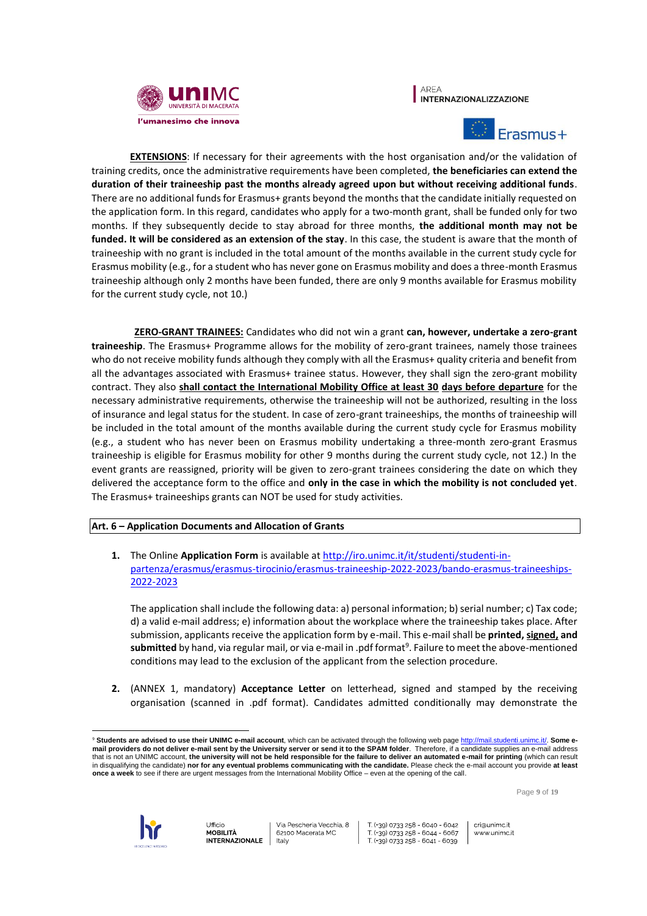





**EXTENSIONS**: If necessary for their agreements with the host organisation and/or the validation of training credits, once the administrative requirements have been completed, **the beneficiaries can extend the duration of their traineeship past the months already agreed upon but without receiving additional funds**. There are no additional funds for Erasmus+ grants beyond the months that the candidate initially requested on the application form. In this regard, candidates who apply for a two-month grant, shall be funded only for two months. If they subsequently decide to stay abroad for three months, **the additional month may not be funded. It will be considered as an extension of the stay**. In this case, the student is aware that the month of traineeship with no grant is included in the total amount of the months available in the current study cycle for Erasmus mobility (e.g., for a student who has never gone on Erasmus mobility and does a three-month Erasmus traineeship although only 2 months have been funded, there are only 9 months available for Erasmus mobility for the current study cycle, not 10.)

**ZERO-GRANT TRAINEES:** Candidates who did not win a grant **can, however, undertake a zero-grant traineeship**. The Erasmus+ Programme allows for the mobility of zero-grant trainees, namely those trainees who do not receive mobility funds although they comply with all the Erasmus+ quality criteria and benefit from all the advantages associated with Erasmus+ trainee status. However, they shall sign the zero-grant mobility contract. They also **shall contact the International Mobility Office at least 30 days before departure** for the necessary administrative requirements, otherwise the traineeship will not be authorized, resulting in the loss of insurance and legal status for the student. In case of zero-grant traineeships, the months of traineeship will be included in the total amount of the months available during the current study cycle for Erasmus mobility (e.g., a student who has never been on Erasmus mobility undertaking a three-month zero-grant Erasmus traineeship is eligible for Erasmus mobility for other 9 months during the current study cycle, not 12.) In the event grants are reassigned, priority will be given to zero-grant trainees considering the date on which they delivered the acceptance form to the office and **only in the case in which the mobility is not concluded yet**. The Erasmus+ traineeships grants can NOT be used for study activities.

# **Art. 6 – Application Documents and Allocation of Grants**

**1.** The Online **Application Form** is available at [http://iro.unimc.it/it/studenti/studenti-in](http://iro.unimc.it/it/studenti/studenti-in-partenza/erasmus/erasmus-tirocinio/erasmus-traineeship-2022-2023/bando-erasmus-traineeships-2022-2023)[partenza/erasmus/erasmus-tirocinio/erasmus-traineeship-2022-2023/bando-erasmus-traineeships-](http://iro.unimc.it/it/studenti/studenti-in-partenza/erasmus/erasmus-tirocinio/erasmus-traineeship-2022-2023/bando-erasmus-traineeships-2022-2023)[2022-2023](http://iro.unimc.it/it/studenti/studenti-in-partenza/erasmus/erasmus-tirocinio/erasmus-traineeship-2022-2023/bando-erasmus-traineeships-2022-2023)

The application shall include the following data: a) personal information; b) serial number; c) Tax code; d) a valid e-mail address; e) information about the workplace where the traineeship takes place. After submission, applicants receive the application form by e-mail. This e-mail shall be **printed, signed, and submitted** by hand, via regular mail, or via e-mail in .pdf format<sup>9</sup>. Failure to meet the above-mentioned conditions may lead to the exclusion of the applicant from the selection procedure.

**2.** (ANNEX 1, mandatory) **Acceptance Letter** on letterhead, signed and stamped by the receiving organisation (scanned in .pdf format). Candidates admitted conditionally may demonstrate the

Page **9** of **19**



 $\overline{a}$ 

<sup>9</sup> **Students are advised to use their UNIMC e-mail account**, which can be activated through the following web page http://mail.studenti.unimc.it/. **Some email providers do not deliver e-mail sent by the University server or send it to the SPAM folder**. Therefore, if a candidate supplies an e-mail address that is not an UNIMC account, **the university will not be held responsible for the failure to deliver an automated e-mail for printing** (which can result in disqualifying the candidate) **nor for any eventual problems communicating with the candidate.** Please check the e-mail account you provide **at least once a week** to see if there are urgent messages from the International Mobility Office – even at the opening of the call.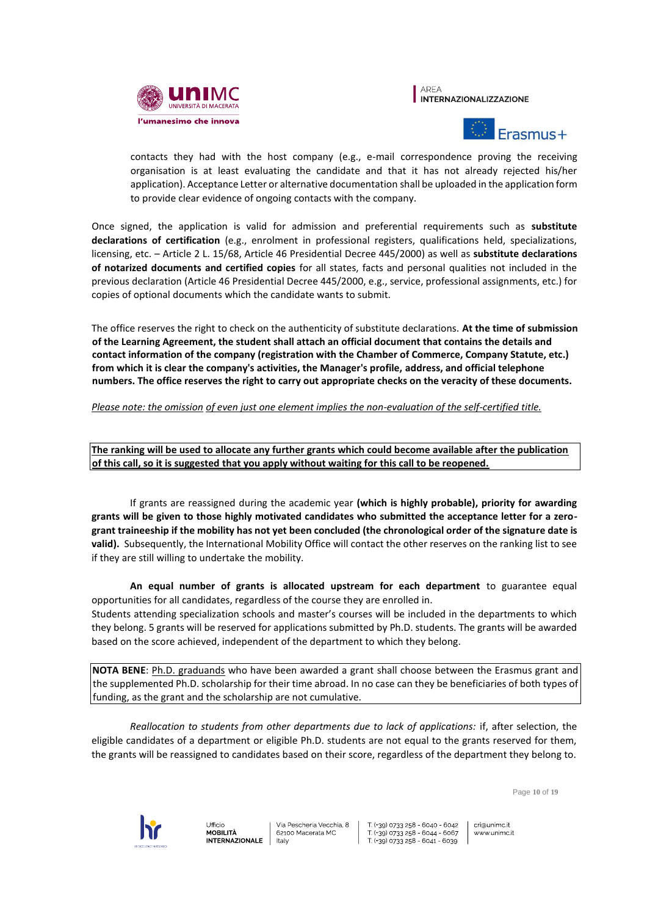





contacts they had with the host company (e.g., e-mail correspondence proving the receiving organisation is at least evaluating the candidate and that it has not already rejected his/her application). Acceptance Letter or alternative documentation shall be uploaded in the application form to provide clear evidence of ongoing contacts with the company.

Once signed, the application is valid for admission and preferential requirements such as **substitute declarations of certification** (e.g., enrolment in professional registers, qualifications held, specializations, licensing, etc. – Article 2 L. 15/68, Article 46 Presidential Decree 445/2000) as well as **substitute declarations of notarized documents and certified copies** for all states, facts and personal qualities not included in the previous declaration (Article 46 Presidential Decree 445/2000, e.g., service, professional assignments, etc.) for copies of optional documents which the candidate wants to submit.

The office reserves the right to check on the authenticity of substitute declarations. **At the time of submission of the Learning Agreement, the student shall attach an official document that contains the details and contact information of the company (registration with the Chamber of Commerce, Company Statute, etc.) from which it is clear the company's activities, the Manager's profile, address, and official telephone numbers. The office reserves the right to carry out appropriate checks on the veracity of these documents.**

# *Please note: the omission of even just one element implies the non-evaluation of the self-certified title.*

**The ranking will be used to allocate any further grants which could become available after the publication of this call, so it is suggested that you apply without waiting for this call to be reopened.**

If grants are reassigned during the academic year **(which is highly probable), priority for awarding grants will be given to those highly motivated candidates who submitted the acceptance letter for a zerogrant traineeship if the mobility has not yet been concluded (the chronological order of the signature date is valid).** Subsequently, the International Mobility Office will contact the other reserves on the ranking list to see if they are still willing to undertake the mobility.

**An equal number of grants is allocated upstream for each department** to guarantee equal opportunities for all candidates, regardless of the course they are enrolled in.

Students attending specialization schools and master's courses will be included in the departments to which they belong. 5 grants will be reserved for applications submitted by Ph.D. students. The grants will be awarded based on the score achieved, independent of the department to which they belong.

**NOTA BENE**: Ph.D. graduands who have been awarded a grant shall choose between the Erasmus grant and the supplemented Ph.D. scholarship for their time abroad. In no case can they be beneficiaries of both types of funding, as the grant and the scholarship are not cumulative.

*Reallocation to students from other departments due to lack of applications:* if, after selection, the eligible candidates of a department or eligible Ph.D. students are not equal to the grants reserved for them, the grants will be reassigned to candidates based on their score, regardless of the department they belong to.

Page **10** of **19**



Ufficio **MOBILITÀ INTERNAZIONALE** 

Via Pescheria Vecchia, 8 62100 Macerata MC taly

T (+39) 0733 258 - 6040 - 6042 T (+39) 0733 258 - 6044 - 6067 T (+39) 0733 258 - 6041 - 6039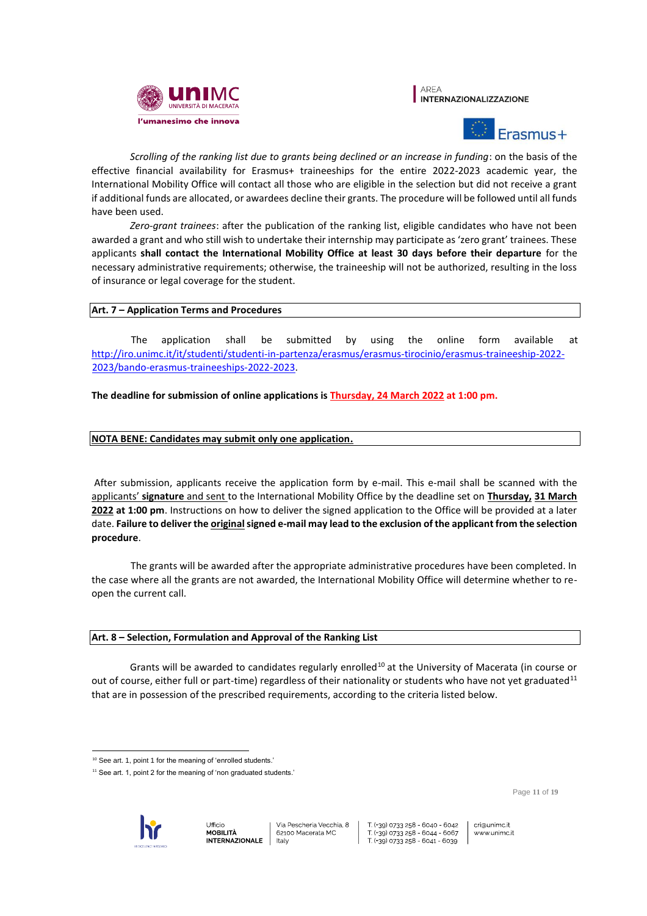





*Scrolling of the ranking list due to grants being declined or an increase in funding*: on the basis of the effective financial availability for Erasmus+ traineeships for the entire 2022-2023 academic year, the International Mobility Office will contact all those who are eligible in the selection but did not receive a grant if additional funds are allocated, or awardees decline their grants. The procedure will be followed until all funds have been used.

*Zero-grant trainees*: after the publication of the ranking list, eligible candidates who have not been awarded a grant and who still wish to undertake their internship may participate as 'zero grant' trainees. These applicants **shall contact the International Mobility Office at least 30 days before their departure** for the necessary administrative requirements; otherwise, the traineeship will not be authorized, resulting in the loss of insurance or legal coverage for the student.

# **Art. 7 – Application Terms and Procedures**

The application shall be submitted by using the online form available at [http://iro.unimc.it/it/studenti/studenti-in-partenza/erasmus/erasmus-tirocinio/erasmus-traineeship-2022-](http://iro.unimc.it/it/studenti/studenti-in-partenza/erasmus/erasmus-tirocinio/erasmus-traineeship-2022-2023/bando-erasmus-traineeships-2022-2023) [2023/bando-erasmus-traineeships-2022-2023.](http://iro.unimc.it/it/studenti/studenti-in-partenza/erasmus/erasmus-tirocinio/erasmus-traineeship-2022-2023/bando-erasmus-traineeships-2022-2023)

**The deadline for submission of online applications is Thursday, 24 March 2022 at 1:00 pm.**

# **NOTA BENE: Candidates may submit only one application.**

After submission, applicants receive the application form by e-mail. This e-mail shall be scanned with the applicants' **signature** and sent to the International Mobility Office by the deadline set on **Thursday, 31 March 2022 at 1:00 pm**. Instructions on how to deliver the signed application to the Office will be provided at a later date. Failure to deliver the **original** signed e-mail may lead to the exclusion of the applicant from the selection **procedure**.

The grants will be awarded after the appropriate administrative procedures have been completed. In the case where all the grants are not awarded, the International Mobility Office will determine whether to reopen the current call.

# **Art. 8 – Selection, Formulation and Approval of the Ranking List**

Grants will be awarded to candidates regularly enrolled<sup>10</sup> at the University of Macerata (in course or out of course, either full or part-time) regardless of their nationality or students who have not yet graduated<sup>11</sup> that are in possession of the prescribed requirements, according to the criteria listed below.

Page **11** of **19**



 $\overline{a}$ <sup>10</sup> See art. 1, point 1 for the meaning of 'enrolled students.'

 $11$  See art. 1, point 2 for the meaning of 'non graduated students.'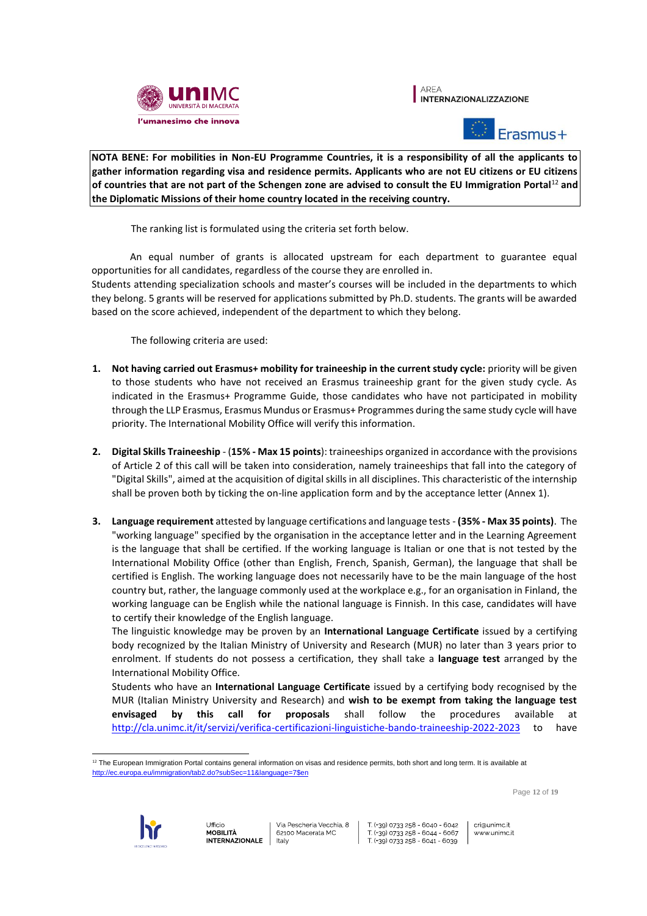

**AREA INTERNAZIONALIZZAZIONE** 



**NOTA BENE: For mobilities in Non-EU Programme Countries, it is a responsibility of all the applicants to gather information regarding visa and residence permits. Applicants who are not EU citizens or EU citizens of countries that are not part of the Schengen zone are advised to consult the EU Immigration Portal**<sup>12</sup> **and the Diplomatic Missions of their home country located in the receiving country.** 

The ranking list is formulated using the criteria set forth below.

An equal number of grants is allocated upstream for each department to guarantee equal opportunities for all candidates, regardless of the course they are enrolled in.

Students attending specialization schools and master's courses will be included in the departments to which they belong. 5 grants will be reserved for applications submitted by Ph.D. students. The grants will be awarded based on the score achieved, independent of the department to which they belong.

The following criteria are used:

- **1. Not having carried out Erasmus+ mobility for traineeship in the current study cycle:** priority will be given to those students who have not received an Erasmus traineeship grant for the given study cycle. As indicated in the Erasmus+ Programme Guide, those candidates who have not participated in mobility through the LLP Erasmus, Erasmus Mundus or Erasmus+ Programmes during the same study cycle will have priority. The International Mobility Office will verify this information.
- **2. Digital Skills Traineeship** (**15% - Max 15 points**): traineeships organized in accordance with the provisions of Article 2 of this call will be taken into consideration, namely traineeships that fall into the category of "Digital Skills", aimed at the acquisition of digital skills in all disciplines. This characteristic of the internship shall be proven both by ticking the on-line application form and by the acceptance letter (Annex 1).
- **3. Language requirement** attested by language certifications and language tests **(35% - Max 35 points)**. The "working language" specified by the organisation in the acceptance letter and in the Learning Agreement is the language that shall be certified. If the working language is Italian or one that is not tested by the International Mobility Office (other than English, French, Spanish, German), the language that shall be certified is English. The working language does not necessarily have to be the main language of the host country but, rather, the language commonly used at the workplace e.g., for an organisation in Finland, the working language can be English while the national language is Finnish. In this case, candidates will have to certify their knowledge of the English language.

The linguistic knowledge may be proven by an **International Language Certificate** issued by a certifying body recognized by the Italian Ministry of University and Research (MUR) no later than 3 years prior to enrolment. If students do not possess a certification, they shall take a **language test** arranged by the International Mobility Office.

Students who have an **International Language Certificate** issued by a certifying body recognised by the MUR (Italian Ministry University and Research) and **wish to be exempt from taking the language test envisaged by this call for proposals** shall follow the procedures available at <http://cla.unimc.it/it/servizi/verifica-certificazioni-linguistiche-bando-traineeship-2022-2023> to have

Page **12** of **19**



 <sup>12</sup> The European Immigration Portal contains general information on visas and residence permits, both short and long term. It is available at http://ec.europa.eu/immigration/tab2.do?subSec=11&language=7\$en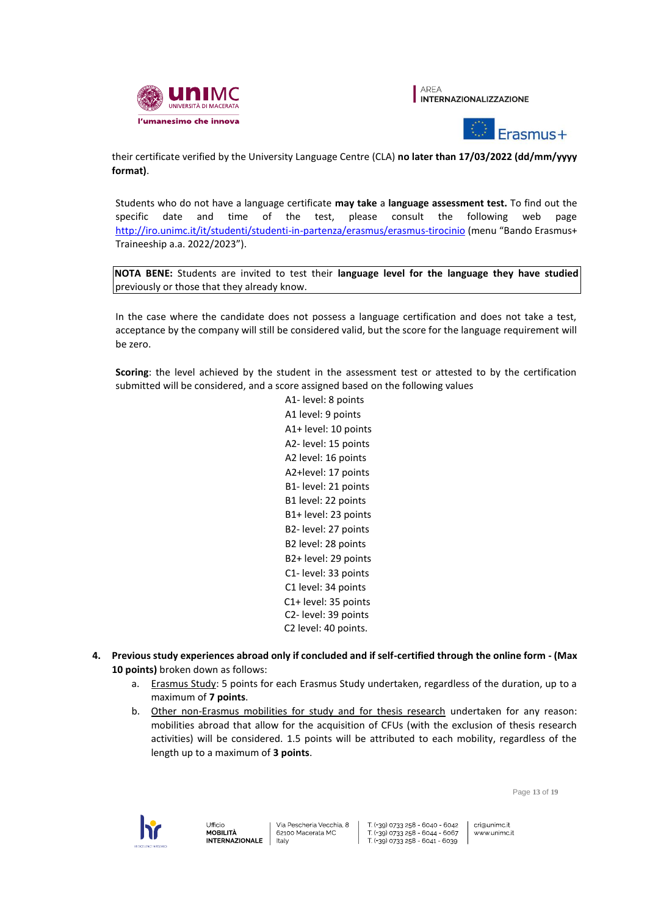





their certificate verified by the University Language Centre (CLA) **no later than 17/03/2022 (dd/mm/yyyy format)**.

Students who do not have a language certificate **may take** a **language assessment test.** To find out the specific date and time of the test, please consult the following web page http://iro.unimc.it/it/studenti/studenti-in-partenza/erasmus/erasmus-tirocinio (menu "Bando Erasmus+ Traineeship a.a. 2022/2023").

**NOTA BENE:** Students are invited to test their **language level for the language they have studied**  previously or those that they already know.

In the case where the candidate does not possess a language certification and does not take a test, acceptance by the company will still be considered valid, but the score for the language requirement will be zero.

**Scoring**: the level achieved by the student in the assessment test or attested to by the certification submitted will be considered, and a score assigned based on the following values

> A1- level: 8 points A1 level: 9 points A1+ level: 10 points A2- level: 15 points A2 level: 16 points A2+level: 17 points B1- level: 21 points B1 level: 22 points B1+ level: 23 points B2- level: 27 points B2 level: 28 points B2+ level: 29 points C1- level: 33 points C1 level: 34 points C1+ level: 35 points C2- level: 39 points C2 level: 40 points.

- **4. Previous study experiences abroad only if concluded and if self-certified through the online form - (Max 10 points)** broken down as follows:
	- a. Erasmus Study: 5 points for each Erasmus Study undertaken, regardless of the duration, up to a maximum of **7 points**.
	- b. Other non-Erasmus mobilities for study and for thesis research undertaken for any reason: mobilities abroad that allow for the acquisition of CFUs (with the exclusion of thesis research activities) will be considered. 1.5 points will be attributed to each mobility, regardless of the length up to a maximum of **3 points**.

Page **13** of **19**



T (+39) 0733 258 - 6040 - 6042 T (+39) 0733 258 - 6044 - 6067<br>T (+39) 0733 258 - 6041 - 6039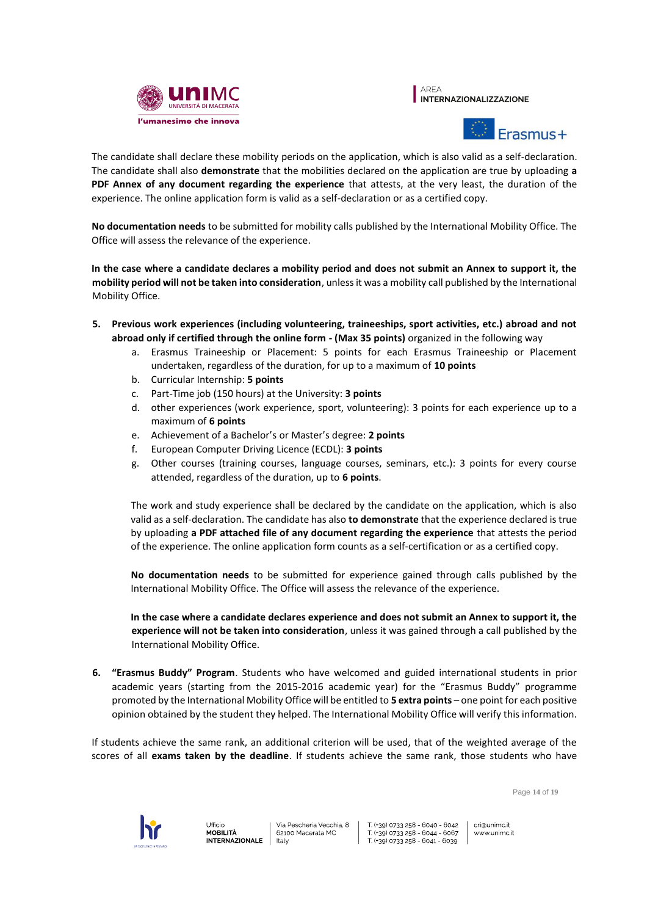





The candidate shall declare these mobility periods on the application, which is also valid as a self-declaration. The candidate shall also **demonstrate** that the mobilities declared on the application are true by uploading **a PDF Annex of any document regarding the experience** that attests, at the very least, the duration of the experience. The online application form is valid as a self-declaration or as a certified copy.

**No documentation needs** to be submitted for mobility calls published by the International Mobility Office. The Office will assess the relevance of the experience.

**In the case where a candidate declares a mobility period and does not submit an Annex to support it, the mobility period will not be taken into consideration**, unless it was a mobility call published by the International Mobility Office.

- **5. Previous work experiences (including volunteering, traineeships, sport activities, etc.) abroad and not abroad only if certified through the online form - (Max 35 points)** organized in the following way
	- a. Erasmus Traineeship or Placement: 5 points for each Erasmus Traineeship or Placement undertaken, regardless of the duration, for up to a maximum of **10 points**
	- b. Curricular Internship: **5 points**
	- c. Part-Time job (150 hours) at the University: **3 points**
	- d. other experiences (work experience, sport, volunteering): 3 points for each experience up to a maximum of **6 points**
	- e. Achievement of a Bachelor's or Master's degree: **2 points**
	- f. European Computer Driving Licence (ECDL): **3 points**
	- g. Other courses (training courses, language courses, seminars, etc.): 3 points for every course attended, regardless of the duration, up to **6 points**.

The work and study experience shall be declared by the candidate on the application, which is also valid as a self-declaration. The candidate has also **to demonstrate** that the experience declared is true by uploading **a PDF attached file of any document regarding the experience** that attests the period of the experience. The online application form counts as a self-certification or as a certified copy.

**No documentation needs** to be submitted for experience gained through calls published by the International Mobility Office. The Office will assess the relevance of the experience.

**In the case where a candidate declares experience and does not submit an Annex to support it, the experience will not be taken into consideration**, unless it was gained through a call published by the International Mobility Office.

**6. "Erasmus Buddy" Program**. Students who have welcomed and guided international students in prior academic years (starting from the 2015-2016 academic year) for the "Erasmus Buddy" programme promoted by the International Mobility Office will be entitled to **5 extra points** – one point for each positive opinion obtained by the student they helped. The International Mobility Office will verify this information.

If students achieve the same rank, an additional criterion will be used, that of the weighted average of the scores of all **exams taken by the deadline**. If students achieve the same rank, those students who have

Page **14** of **19**

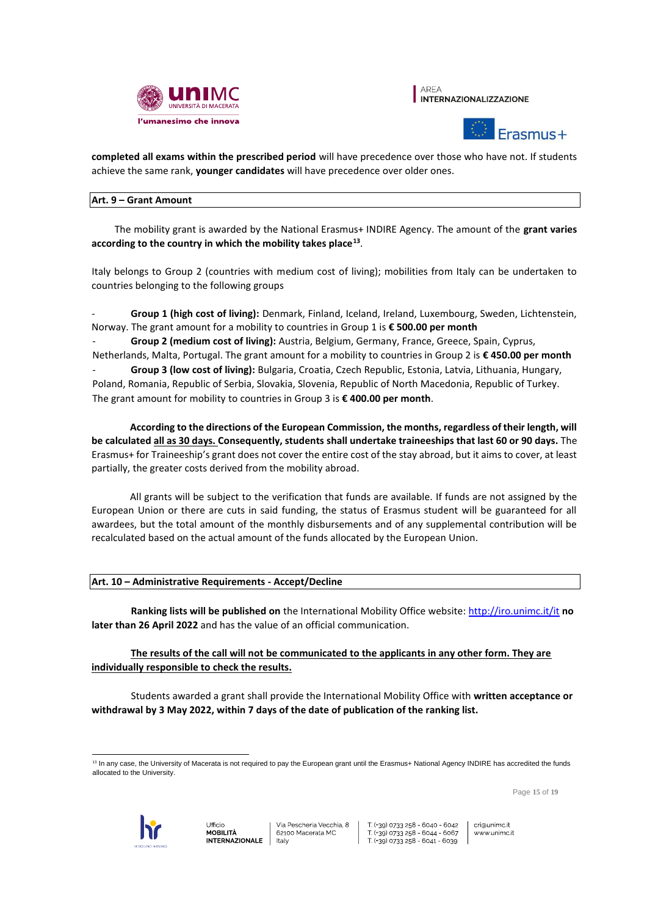





**completed all exams within the prescribed period** will have precedence over those who have not. If students achieve the same rank, **younger candidates** will have precedence over older ones.

# **Art. 9 – Grant Amount**

The mobility grant is awarded by the National Erasmus+ INDIRE Agency. The amount of the **grant varies according to the country in which the mobility takes place<sup>13</sup>** .

Italy belongs to Group 2 (countries with medium cost of living); mobilities from Italy can be undertaken to countries belonging to the following groups

- **Group 1 (high cost of living):** Denmark, Finland, Iceland, Ireland, Luxembourg, Sweden, Lichtenstein, Norway. The grant amount for a mobility to countries in Group 1 is **€ 500.00 per month**

- **Group 2 (medium cost of living):** Austria, Belgium, Germany, France, Greece, Spain, Cyprus, Netherlands, Malta, Portugal. The grant amount for a mobility to countries in Group 2 is **€ 450.00 per month** Group 3 (low cost of living): Bulgaria, Croatia, Czech Republic, Estonia, Latvia, Lithuania, Hungary, Poland, Romania, Republic of Serbia, Slovakia, Slovenia, Republic of North Macedonia, Republic of Turkey. The grant amount for mobility to countries in Group 3 is **€ 400.00 per month**.

**According to the directions of the European Commission, the months, regardless of their length, will be calculated all as 30 days. Consequently, students shall undertake traineeships that last 60 or 90 days.** The Erasmus+ for Traineeship's grant does not cover the entire cost of the stay abroad, but it aims to cover, at least partially, the greater costs derived from the mobility abroad.

All grants will be subject to the verification that funds are available. If funds are not assigned by the European Union or there are cuts in said funding, the status of Erasmus student will be guaranteed for all awardees, but the total amount of the monthly disbursements and of any supplemental contribution will be recalculated based on the actual amount of the funds allocated by the European Union.

# **Art. 10 – Administrative Requirements - Accept/Decline**

**Ranking lists will be published on** the International Mobility Office website: http://iro.unimc.it/it **no later than 26 April 2022** and has the value of an official communication.

**The results of the call will not be communicated to the applicants in any other form. They are individually responsible to check the results.**

Students awarded a grant shall provide the International Mobility Office with **written acceptance or withdrawal by 3 May 2022, within 7 days of the date of publication of the ranking list.** 

Page **15** of **19**



 $\overline{a}$ <sup>13</sup> In any case, the University of Macerata is not required to pay the European grant until the Erasmus+ National Agency INDIRE has accredited the funds allocated to the University.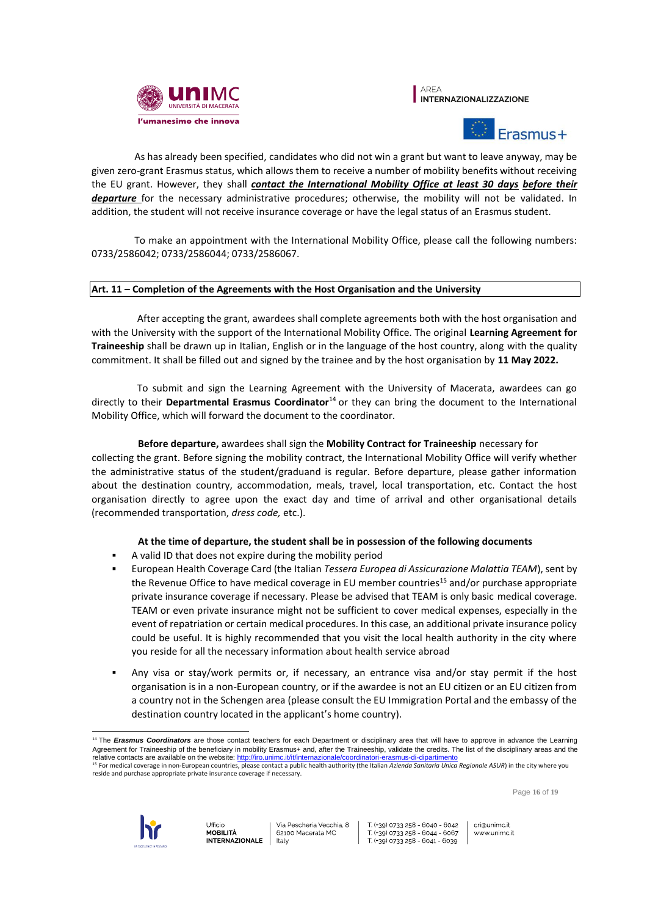





As has already been specified, candidates who did not win a grant but want to leave anyway, may be given zero-grant Erasmus status, which allows them to receive a number of mobility benefits without receiving the EU grant. However, they shall *contact the International Mobility Office at least 30 days before their departure* for the necessary administrative procedures; otherwise, the mobility will not be validated. In addition, the student will not receive insurance coverage or have the legal status of an Erasmus student.

To make an appointment with the International Mobility Office, please call the following numbers: 0733/2586042; 0733/2586044; 0733/2586067.

# **Art. 11 – Completion of the Agreements with the Host Organisation and the University**

After accepting the grant, awardees shall complete agreements both with the host organisation and with the University with the support of the International Mobility Office. The original **Learning Agreement for Traineeship** shall be drawn up in Italian, English or in the language of the host country, along with the quality commitment. It shall be filled out and signed by the trainee and by the host organisation by **11 May 2022.**

To submit and sign the Learning Agreement with the University of Macerata, awardees can go directly to their **Departmental Erasmus Coordinator**<sup>14</sup> or they can bring the document to the International Mobility Office, which will forward the document to the coordinator.

#### **Before departure,** awardees shall sign the **Mobility Contract for Traineeship** necessary for

collecting the grant. Before signing the mobility contract, the International Mobility Office will verify whether the administrative status of the student/graduand is regular. Before departure, please gather information about the destination country, accommodation, meals, travel, local transportation, etc. Contact the host organisation directly to agree upon the exact day and time of arrival and other organisational details (recommended transportation, *dress code,* etc.).

#### **At the time of departure, the student shall be in possession of the following documents**

- A valid ID that does not expire during the mobility period
- European Health Coverage Card (the Italian *Tessera Europea di Assicurazione Malattia TEAM*), sent by the Revenue Office to have medical coverage in EU member countries<sup>15</sup> and/or purchase appropriate private insurance coverage if necessary. Please be advised that TEAM is only basic medical coverage. TEAM or even private insurance might not be sufficient to cover medical expenses, especially in the event of repatriation or certain medical procedures. In this case, an additional private insurance policy could be useful. It is highly recommended that you visit the local health authority in the city where you reside for all the necessary information about health service abroad
- Any visa or stay/work permits or, if necessary, an entrance visa and/or stay permit if the host organisation is in a non-European country, or if the awardee is not an EU citizen or an EU citizen from a country not in the Schengen area (please consult the EU Immigration Portal and the embassy of the destination country located in the applicant's home country).

Page **16** of **19**



T (+39) 0733 258 - 6040 - 6042 T (+39) 0733 258 - 6044 - 6067 T (+39) 0733 258 - 6041 - 6039

 $\overline{a}$ <sup>14</sup> The **Erasmus Coordinators** are those contact teachers for each Department or disciplinary area that will have to approve in advance the Learning Agreement for Traineeship of the beneficiary in mobility Erasmus+ and, after the Traineeship, validate the credits. The list of the disciplinary areas and the relative contacts are available on the website: http://iro.unimc.it/it/internazionale/coordinatori-erasmus-di-dipartimento

<sup>&</sup>lt;sup>15</sup> For medical coverage in non-European countries, please contact a public health authority (the Italian Azienda Sanitaria Unica Regionale ASUR) in the city where you reside and purchase appropriate private insurance coverage if necessary.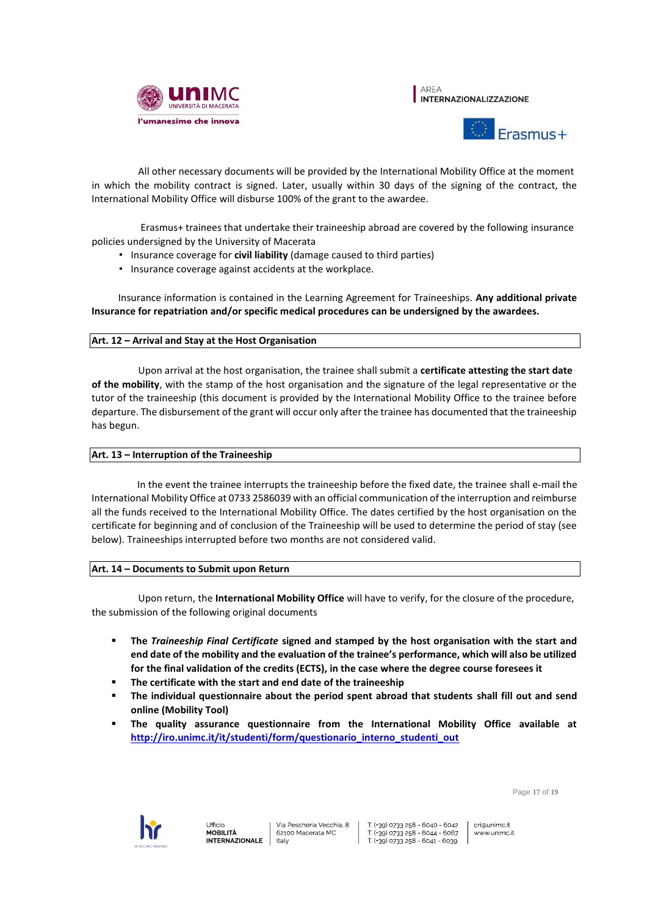





All other necessary documents will be provided by the International Mobility Office at the moment in which the mobility contract is signed. Later, usually within 30 days of the signing of the contract, the International Mobility Office will disburse 100% of the grant to the awardee.

Erasmus+ trainees that undertake their traineeship abroad are covered by the following insurance policies undersigned by the University of Macerata

- Insurance coverage for **civil liability** (damage caused to third parties)
- Insurance coverage against accidents at the workplace.

Insurance information is contained in the Learning Agreement for Traineeships. **Any additional private Insurance for repatriation and/or specific medical procedures can be undersigned by the awardees.** 

# **Art. 12 – Arrival and Stay at the Host Organisation**

Upon arrival at the host organisation, the trainee shall submit a **certificate attesting the start date of the mobility**, with the stamp of the host organisation and the signature of the legal representative or the tutor of the traineeship (this document is provided by the International Mobility Office to the trainee before departure. The disbursement of the grant will occur only after the trainee has documented that the traineeship has begun.

# **Art. 13 – Interruption of the Traineeship**

In the event the trainee interrupts the traineeship before the fixed date, the trainee shall e-mail the International Mobility Office at 0733 2586039 with an official communication of the interruption and reimburse all the funds received to the International Mobility Office. The dates certified by the host organisation on the certificate for beginning and of conclusion of the Traineeship will be used to determine the period of stay (see below). Traineeships interrupted before two months are not considered valid.

# **Art. 14 – Documents to Submit upon Return**

Upon return, the **International Mobility Office** will have to verify, for the closure of the procedure, the submission of the following original documents

- **The** *Traineeship Final Certificate* **signed and stamped by the host organisation with the start and end date of the mobility and the evaluation of the trainee's performance, which will also be utilized for the final validation of the credits (ECTS), in the case where the degree course foresees it**
- **The certificate with the start and end date of the traineeship**
- **The individual questionnaire about the period spent abroad that students shall fill out and send online (Mobility Tool)**
- **The quality assurance questionnaire from the International Mobility Office available at http://iro.unimc.it/it/studenti/form/questionario\_interno\_studenti\_out**

Page **17** of **19**

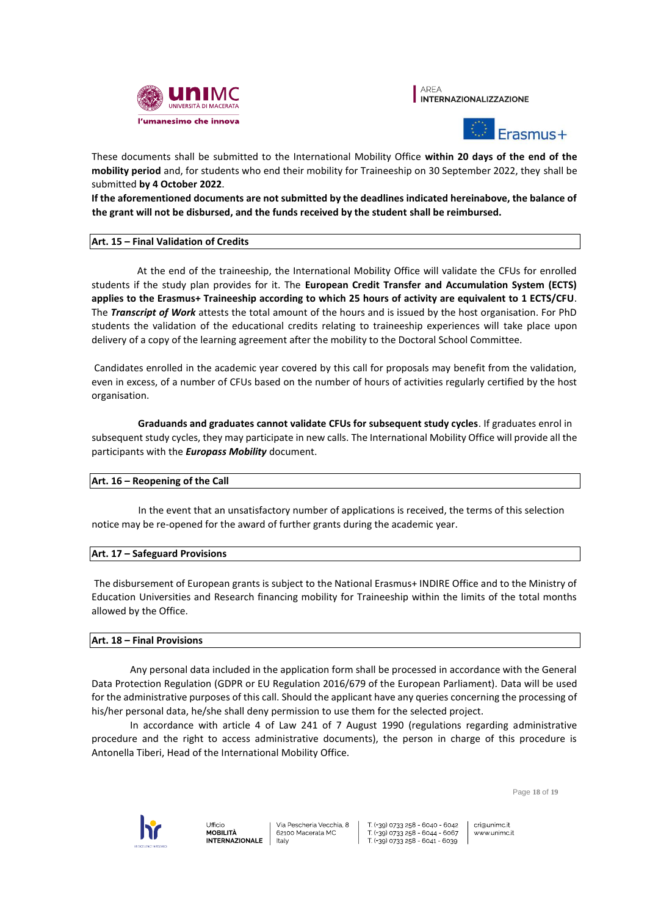

AREA **INTERNAZIONALIZZAZIONE** 



These documents shall be submitted to the International Mobility Office **within 20 days of the end of the mobility period** and, for students who end their mobility for Traineeship on 30 September 2022, they shall be submitted **by 4 October 2022**.

**If the aforementioned documents are not submitted by the deadlines indicated hereinabove, the balance of the grant will not be disbursed, and the funds received by the student shall be reimbursed.** 

# **Art. 15 – Final Validation of Credits**

At the end of the traineeship, the International Mobility Office will validate the CFUs for enrolled students if the study plan provides for it. The **European Credit Transfer and Accumulation System (ECTS) applies to the Erasmus+ Traineeship according to which 25 hours of activity are equivalent to 1 ECTS/CFU**. The *Transcript of Work* attests the total amount of the hours and is issued by the host organisation. For PhD students the validation of the educational credits relating to traineeship experiences will take place upon delivery of a copy of the learning agreement after the mobility to the Doctoral School Committee.

Candidates enrolled in the academic year covered by this call for proposals may benefit from the validation, even in excess, of a number of CFUs based on the number of hours of activities regularly certified by the host organisation.

**Graduands and graduates cannot validate CFUs for subsequent study cycles**. If graduates enrol in subsequent study cycles, they may participate in new calls. The International Mobility Office will provide all the participants with the *Europass Mobility* document.

# **Art. 16 – Reopening of the Call**

In the event that an unsatisfactory number of applications is received, the terms of this selection notice may be re-opened for the award of further grants during the academic year.

#### **Art. 17 – Safeguard Provisions**

The disbursement of European grants is subject to the National Erasmus+ INDIRE Office and to the Ministry of Education Universities and Research financing mobility for Traineeship within the limits of the total months allowed by the Office.

#### **Art. 18 – Final Provisions**

Any personal data included in the application form shall be processed in accordance with the General Data Protection Regulation (GDPR or EU Regulation 2016/679 of the European Parliament). Data will be used for the administrative purposes of this call. Should the applicant have any queries concerning the processing of his/her personal data, he/she shall deny permission to use them for the selected project.

In accordance with article 4 of Law 241 of 7 August 1990 (regulations regarding administrative procedure and the right to access administrative documents), the person in charge of this procedure is Antonella Tiberi, Head of the International Mobility Office.

Page **18** of **19**



T (+39) 0733 258 - 6040 - 6042  $\frac{1}{29}$  (+39) 0733 258 - 6044 - 6067 T (+39) 0733 258 - 6041 - 6039